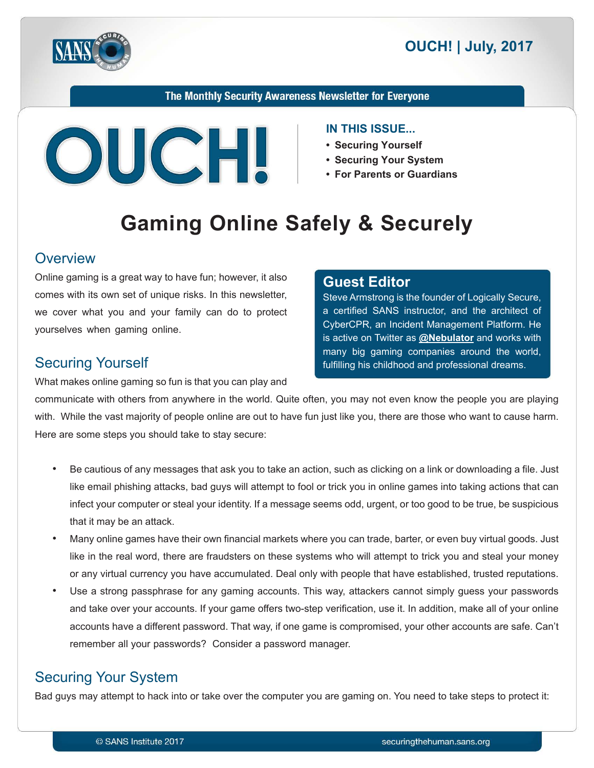



#### The Monthly Security Awareness Newsletter for Everyone



#### **IN THIS ISSUE...**

**Editor Guest**

- Securing Yourself
- Securing Your System
- For Parents or Guardians

Steve Armstrong is the founder of Logically Secure, a certified SANS instructor, and the architect of CyberCPR, an Incident Management Platform. He is active on Twitter as **@[Nebulator](https://twitter.com/@nebulator)** and works with many big gaming companies around the world, fulfilling his childhood and professional dreams.

# **Gaming Online Safely & Securely**

#### **Overview**

Online gaming is a great way to have fun; however, it also comes with its own set of unique risks. In this newsletter, we cover what you and your family can do to protect yourselves when gaming online.

#### **Securing Yourself**

What makes online gaming so fun is that you can play and

communicate with others from anywhere in the world. Quite often, you may not even know the people you are playing with. While the vast majority of people online are out to have fun just like you, there are those who want to cause harm. Here are some steps you should take to stay secure:

- Be cautious of any messages that ask you to take an action, such as clicking on a link or downloading a file. Just like email phishing attacks, bad guys will attempt to fool or trick you in online games into taking actions that can infect your computer or steal your identity. If a message seems odd, urgent, or too good to be true, be suspicious that it may be an attack.
- Many online games have their own financial markets where you can trade, barter, or even buy virtual goods. Just like in the real word, there are fraudsters on these systems who will attempt to trick you and steal your money or any virtual currency you have accumulated. Deal only with people that have established, trusted reputations.
- Use a strong passphrase for any gaming accounts. This way, attackers cannot simply guess your passwords and take over your accounts. If your game offers two-step verification, use it. In addition, make all of your online accounts have a different password. That way, if one game is compromised, your other accounts are safe. Can't remember all your passwords? Consider a password manager.

#### **Securing Your System**

Bad guys may attempt to hack into or take over the computer you are gaming on. You need to take steps to protect it: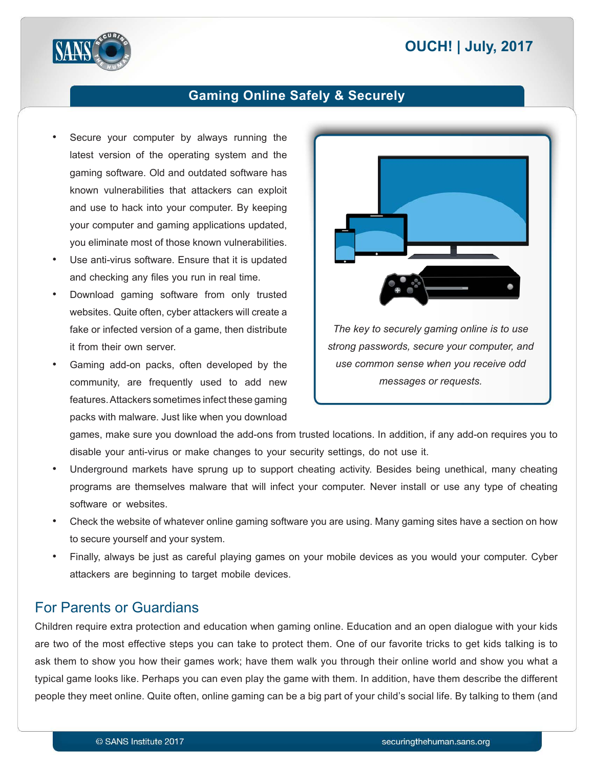# **2017 <b>DUCH!** | July, 2017



#### **Gaming Online Safely & Securely**

- Secure your computer by always running the latest version of the operating system and the gaming software. Old and outdated software has known vulnerabilities that attackers can exploit and use to hack into your computer. By keeping your computer and gaming applications updated, you eliminate most of those known vulnerabilities.
- Use anti-virus software. Ensure that it is updated and checking any files you run in real time.
- Download gaming software from only trusted websites. Quite often, cyber attackers will create a fake or infected version of a game, then distribute it from their own server.
- Gaming add-on packs, often developed by the community, are frequently used to add new features. Attackers sometimes infect these gaming packs with malware. Just like when you download



games, make sure you download the add-ons from trusted locations. In addition, if any add-on requires you to disable your anti-virus or make changes to your security settings, do not use it.

- Underground markets have sprung up to support cheating activity. Besides being unethical, many cheating programs are themselves malware that will infect your computer. Never install or use any type of cheating software or websites.
- Check the website of whatever online gaming software you are using. Many gaming sites have a section on how to secure yourself and your system.
- Finally, always be just as careful playing games on your mobile devices as you would your computer. Cyber attackers are beginning to target mobile devices.

#### For Parents or Guardians

Children require extra protection and education when gaming online. Education and an open dialogue with your kids are two of the most effective steps you can take to protect them. One of our favorite tricks to get kids talking is to ask them to show you how their games work; have them walk you through their online world and show you what a typical game looks like. Perhaps you can even play the game with them. In addition, have them describe the different people they meet online. Quite often, online gaming can be a big part of your child's social life. By talking to them (and